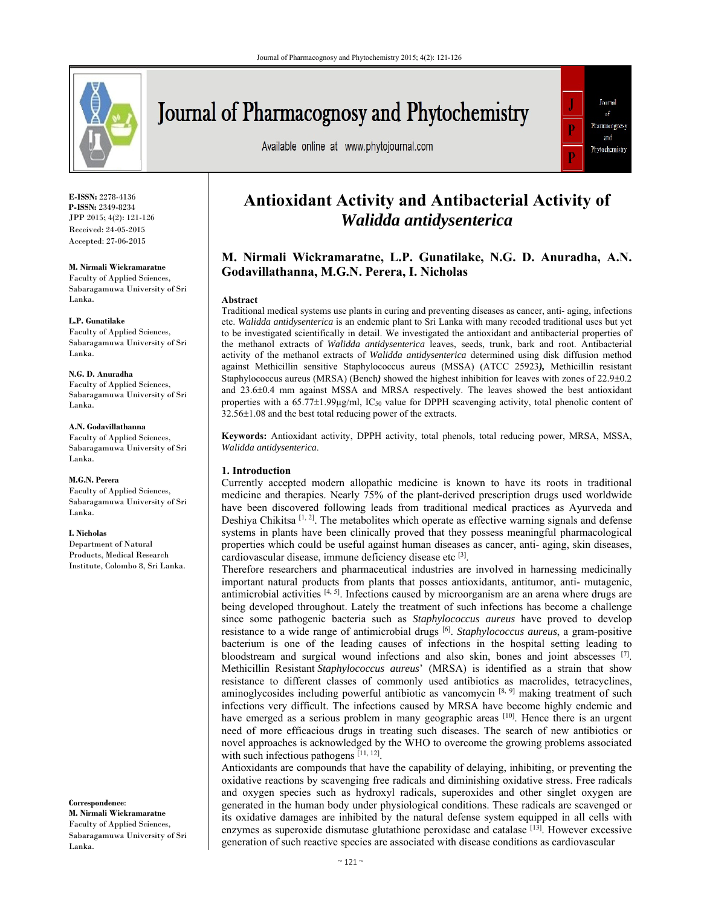

# Journal of Pharmacognosy and Phytochemistry

Available online at www.phytojournal.com



**E-ISSN:** 2278-4136 **P-ISSN:** 2349-8234 JPP 2015; 4(2): 121-126 Received: 24-05-2015 Accepted: 27-06-2015

**M. Nirmali Wickramaratne** 

Faculty of Applied Sciences, Sabaragamuwa University of Sri Lanka.

**L.P. Gunatilake** 

Faculty of Applied Sciences, Sabaragamuwa University of Sri Lanka.

**N.G. D. Anuradha**  Faculty of Applied Sciences, Sabaragamuwa University of Sri Lanka.

**A.N. Godavillathanna**  Faculty of Applied Sciences, Sabaragamuwa University of Sri Lanka.

**M.G.N. Perera**  Faculty of Applied Sciences, Sabaragamuwa University of Sri Lanka.

**I. Nicholas** 

Department of Natural Products, Medical Research Institute, Colombo 8, Sri Lanka.

**Correspondence**: **M. Nirmali Wickramaratne**  Faculty of Applied Sciences, Sabaragamuwa University of Sri Lanka.

## **Antioxidant Activity and Antibacterial Activity of**  *Walidda antidysenterica*

### **M. Nirmali Wickramaratne, L.P. Gunatilake, N.G. D. Anuradha, A.N. Godavillathanna, M.G.N. Perera, I. Nicholas**

#### **Abstract**

Traditional medical systems use plants in curing and preventing diseases as cancer, anti- aging, infections etc. *Walidda antidysenterica* is an endemic plant to Sri Lanka with many recoded traditional uses but yet to be investigated scientifically in detail. We investigated the antioxidant and antibacterial properties of the methanol extracts of *Walidda antidysenterica* leaves, seeds, trunk, bark and root. Antibacterial activity of the methanol extracts of *Walidda antidysenterica* determined using disk diffusion method against Methicillin sensitive Staphylococcus aureus (MSSA) (ATCC 25923*),* Methicillin resistant Staphylococcus aureus (MRSA) (Bench) showed the highest inhibition for leaves with zones of 22.9±0.2 and  $23.6\pm0.4$  mm against MSSA and MRSA respectively. The leaves showed the best antioxidant properties with a  $65.77 \pm 1.99 \mu g/ml$ , IC<sub>50</sub> value for DPPH scavenging activity, total phenolic content of  $32.56\pm1.08$  and the best total reducing power of the extracts.

**Keywords:** Antioxidant activity, DPPH activity, total phenols, total reducing power, MRSA, MSSA, *Walidda antidysenterica*.

#### **1. Introduction**

Currently accepted modern allopathic medicine is known to have its roots in traditional medicine and therapies. Nearly 75% of the plant-derived prescription drugs used worldwide have been discovered following leads from traditional medical practices as Ayurveda and Deshiya Chikitsa  $[1, 2]$ . The metabolites which operate as effective warning signals and defense systems in plants have been clinically proved that they possess meaningful pharmacological properties which could be useful against human diseases as cancer, anti- aging, skin diseases, cardiovascular disease, immune deficiency disease etc [3].

Therefore researchers and pharmaceutical industries are involved in harnessing medicinally important natural products from plants that posses antioxidants, antitumor, anti- mutagenic, antimicrobial activities [4, 5]. Infections caused by microorganism are an arena where drugs are being developed throughout. Lately the treatment of such infections has become a challenge since some pathogenic bacteria such as *Staphylococcus aureus* have proved to develop resistance to a wide range of antimicrobial drugs [6]. *Staphylococcus aureus*, a gram-positive bacterium is one of the leading causes of infections in the hospital setting leading to bloodstream and surgical wound infections and also skin, bones and joint abscesses  $[7]$ . Methicillin Resistant *Staphylococcus aureus*' (MRSA) is identified as a strain that show resistance to different classes of commonly used antibiotics as macrolides, tetracyclines, aminoglycosides including powerful antibiotic as vancomycin [8, 9] making treatment of such infections very difficult. The infections caused by MRSA have become highly endemic and have emerged as a serious problem in many geographic areas  $[10]$ . Hence there is an urgent need of more efficacious drugs in treating such diseases. The search of new antibiotics or novel approaches is acknowledged by the WHO to overcome the growing problems associated with such infectious pathogens [11, 12].

Antioxidants are compounds that have the capability of delaying, inhibiting, or preventing the oxidative reactions by scavenging free radicals and diminishing oxidative stress. Free radicals and oxygen species such as hydroxyl radicals, superoxides and other singlet oxygen are generated in the human body under physiological conditions. These radicals are scavenged or its oxidative damages are inhibited by the natural defense system equipped in all cells with enzymes as superoxide dismutase glutathione peroxidase and catalase  $[13]$ . However excessive generation of such reactive species are associated with disease conditions as cardiovascular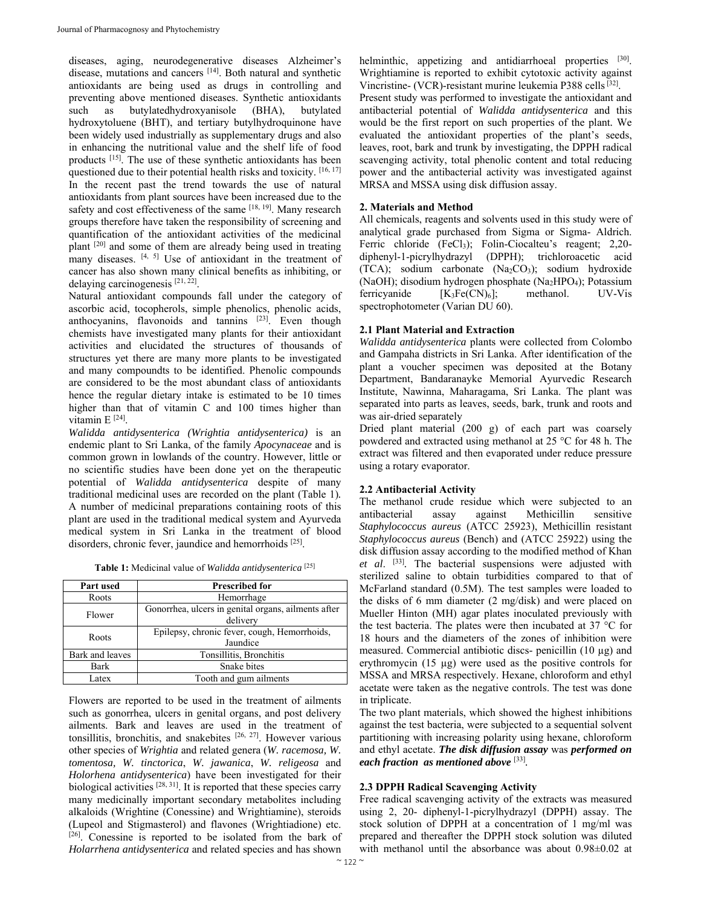diseases, aging, neurodegenerative diseases Alzheimer's disease, mutations and cancers [14]. Both natural and synthetic antioxidants are being used as drugs in controlling and preventing above mentioned diseases. Synthetic antioxidants such as butylatedhydroxyanisole (BHA), butylated hydroxytoluene (BHT), and tertiary butylhydroquinone have been widely used industrially as supplementary drugs and also in enhancing the nutritional value and the shelf life of food products [15]. The use of these synthetic antioxidants has been questioned due to their potential health risks and toxicity. [16, 17] In the recent past the trend towards the use of natural antioxidants from plant sources have been increased due to the safety and cost effectiveness of the same [18, 19]. Many research groups therefore have taken the responsibility of screening and quantification of the antioxidant activities of the medicinal plant [20] and some of them are already being used in treating many diseases. [4, 5] Use of antioxidant in the treatment of cancer has also shown many clinical benefits as inhibiting, or delaying carcinogenesis [21, 22].

Natural antioxidant compounds fall under the category of ascorbic acid, tocopherols, simple phenolics, phenolic acids, anthocyanins, flavonoids and tannins  $[23]$ . Even though chemists have investigated many plants for their antioxidant activities and elucidated the structures of thousands of structures yet there are many more plants to be investigated and many compoundts to be identified. Phenolic compounds are considered to be the most abundant class of antioxidants hence the regular dietary intake is estimated to be 10 times higher than that of vitamin C and 100 times higher than vitamin  $E^{[24]}$ .

*Walidda antidysenterica (Wrightia antidysenterica)* is an endemic plant to Sri Lanka, of the family *Apocynaceae* and is common grown in lowlands of the country. However, little or no scientific studies have been done yet on the therapeutic potential of *Walidda antidysenterica* despite of many traditional medicinal uses are recorded on the plant (Table 1)*.*  A number of medicinal preparations containing roots of this plant are used in the traditional medical system and Ayurveda medical system in Sri Lanka in the treatment of blood disorders, chronic fever, jaundice and hemorrhoids [25].

**Table 1:** Medicinal value of *Walidda antidysenterica* [25]

| Part used       | Prescribed for                                                  |  |  |
|-----------------|-----------------------------------------------------------------|--|--|
| Roots           | Hemorrhage                                                      |  |  |
| Flower          | Gonorrhea, ulcers in genital organs, ailments after<br>delivery |  |  |
| Roots           | Epilepsy, chronic fever, cough, Hemorrhoids,<br>Jaundice        |  |  |
| Bark and leaves | Tonsillitis, Bronchitis                                         |  |  |
| Bark            | Snake bites                                                     |  |  |
| Latex           | Tooth and gum ailments                                          |  |  |

Flowers are reported to be used in the treatment of ailments such as gonorrhea, ulcers in genital organs, and post delivery ailments. Bark and leaves are used in the treatment of tonsillitis, bronchitis, and snakebites [26, 27]. However various other species of *Wrightia* and related genera (*W. racemosa, W. tomentosa, W. tinctorica*, *W. jawanica*, *W. religeosa* and *Holorhena antidysenterica*) have been investigated for their biological activities [28, 31]. It is reported that these species carry many medicinally important secondary metabolites including alkaloids (Wrightine (Conessine) and Wrightiamine), steroids (Lupeol and Stigmasterol) and flavones (Wrightiadione) etc. [26]. Conessine is reported to be isolated from the bark of *Holarrhena antidysenterica* and related species and has shown

helminthic, appetizing and antidiarrhoeal properties [30]. Wrightiamine is reported to exhibit cytotoxic activity against Vincristine- (VCR)-resistant murine leukemia P388 cells [32]. Present study was performed to investigate the antioxidant and

antibacterial potential of *Walidda antidysenterica* and this would be the first report on such properties of the plant*.* We evaluated the antioxidant properties of the plant's seeds, leaves, root, bark and trunk by investigating, the DPPH radical scavenging activity, total phenolic content and total reducing power and the antibacterial activity was investigated against MRSA and MSSA using disk diffusion assay.

#### **2. Materials and Method**

All chemicals, reagents and solvents used in this study were of analytical grade purchased from Sigma or Sigma- Aldrich. Ferric chloride (FeCl<sub>3</sub>); Folin-Ciocalteu's reagent; 2,20diphenyl-1-picrylhydrazyl (DPPH); trichloroacetic acid  $(TCA)$ ; sodium carbonate  $(Na_2CO_3)$ ; sodium hydroxide (NaOH); disodium hydrogen phosphate (Na<sub>2</sub>HPO<sub>4</sub>); Potassium ferricyanide  $[K_3Fe(CN)_6]$ ; methanol. UV-Vis spectrophotometer (Varian DU 60).

#### **2.1 Plant Material and Extraction**

*Walidda antidysenterica* plants were collected from Colombo and Gampaha districts in Sri Lanka. After identification of the plant a voucher specimen was deposited at the Botany Department, Bandaranayke Memorial Ayurvedic Research Institute, Nawinna, Maharagama, Sri Lanka. The plant was separated into parts as leaves, seeds, bark, trunk and roots and was air-dried separately

Dried plant material (200 g) of each part was coarsely powdered and extracted using methanol at 25 °C for 48 h. The extract was filtered and then evaporated under reduce pressure using a rotary evaporator.

#### **2.2 Antibacterial Activity**

The methanol crude residue which were subjected to an antibacterial assay against Methicillin sensitive *Staphylococcus aureus* (ATCC 25923), Methicillin resistant *Staphylococcus aureus* (Bench) and (ATCC 25922) using the disk diffusion assay according to the modified method of Khan *et al*. [33]*.* The bacterial suspensions were adjusted with sterilized saline to obtain turbidities compared to that of McFarland standard (0.5M). The test samples were loaded to the disks of 6 mm diameter (2 mg/disk) and were placed on Mueller Hinton (MH) agar plates inoculated previously with the test bacteria. The plates were then incubated at 37 °C for 18 hours and the diameters of the zones of inhibition were measured. Commercial antibiotic discs- penicillin (10 µg) and erythromycin (15 µg) were used as the positive controls for MSSA and MRSA respectively. Hexane, chloroform and ethyl acetate were taken as the negative controls. The test was done in triplicate.

The two plant materials, which showed the highest inhibitions against the test bacteria, were subjected to a sequential solvent partitioning with increasing polarity using hexane, chloroform and ethyl acetate. *The disk diffusion assay* was *performed on each fraction as mentioned above* [33]*.*

#### **2.3 DPPH Radical Scavenging Activity**

Free radical scavenging activity of the extracts was measured using 2, 20- diphenyl-1-picrylhydrazyl (DPPH) assay. The stock solution of DPPH at a concentration of 1 mg/ml was prepared and thereafter the DPPH stock solution was diluted with methanol until the absorbance was about 0.98±0.02 at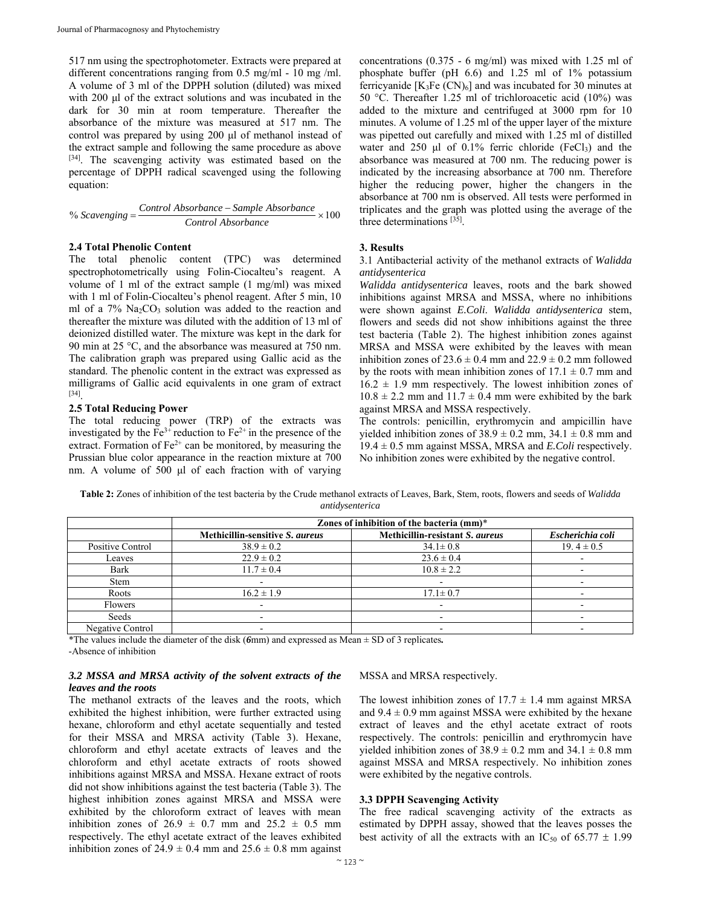517 nm using the spectrophotometer. Extracts were prepared at different concentrations ranging from 0.5 mg/ml - 10 mg /ml. A volume of 3 ml of the DPPH solution (diluted) was mixed with 200 μl of the extract solutions and was incubated in the dark for 30 min at room temperature. Thereafter the absorbance of the mixture was measured at 517 nm. The control was prepared by using 200 μl of methanol instead of the extract sample and following the same procedure as above [34]. The scavenging activity was estimated based on the percentage of DPPH radical scavenged using the following equation:

% *Scavenging Control Absorbance Sample Absorbance Control Absorbance* <sup>100</sup>

#### **2.4 Total Phenolic Content**

The total phenolic content (TPC) was determined spectrophotometrically using Folin-Ciocalteu's reagent. A volume of 1 ml of the extract sample (1 mg/ml) was mixed with 1 ml of Folin-Ciocalteu's phenol reagent. After 5 min, 10 ml of a 7% Na<sub>2</sub>CO<sub>3</sub> solution was added to the reaction and thereafter the mixture was diluted with the addition of 13 ml of deionized distilled water. The mixture was kept in the dark for 90 min at 25 °C, and the absorbance was measured at 750 nm. The calibration graph was prepared using Gallic acid as the standard. The phenolic content in the extract was expressed as milligrams of Gallic acid equivalents in one gram of extract [34].

#### **2.5 Total Reducing Power**

The total reducing power (TRP) of the extracts was investigated by the  $Fe^{3+}$  reduction to  $Fe^{2+}$  in the presence of the extract. Formation of  $Fe^{2+}$  can be monitored, by measuring the Prussian blue color appearance in the reaction mixture at 700 nm. A volume of 500 μl of each fraction with of varying concentrations (0.375 - 6 mg/ml) was mixed with 1.25 ml of phosphate buffer (pH 6.6) and 1.25 ml of 1% potassium ferricyanide  $[K_3Fe(CN)_6]$  and was incubated for 30 minutes at 50 °C. Thereafter 1.25 ml of trichloroacetic acid (10%) was added to the mixture and centrifuged at 3000 rpm for 10 minutes. A volume of 1.25 ml of the upper layer of the mixture was pipetted out carefully and mixed with 1.25 ml of distilled water and 250 μl of  $0.1\%$  ferric chloride (FeCl<sub>3</sub>) and the absorbance was measured at 700 nm. The reducing power is indicated by the increasing absorbance at 700 nm. Therefore higher the reducing power, higher the changers in the absorbance at 700 nm is observed. All tests were performed in triplicates and the graph was plotted using the average of the three determinations [35].

#### **3. Results**

3.1 Antibacterial activity of the methanol extracts of *Walidda antidysenterica* 

*Walidda antidysenterica* leaves, roots and the bark showed inhibitions against MRSA and MSSA, where no inhibitions were shown against *E.Coli*. *Walidda antidysenterica* stem, flowers and seeds did not show inhibitions against the three test bacteria (Table 2). The highest inhibition zones against MRSA and MSSA were exhibited by the leaves with mean inhibition zones of  $23.6 \pm 0.4$  mm and  $22.9 \pm 0.2$  mm followed by the roots with mean inhibition zones of  $17.1 \pm 0.7$  mm and  $16.2 \pm 1.9$  mm respectively. The lowest inhibition zones of  $10.8 \pm 2.2$  mm and  $11.7 \pm 0.4$  mm were exhibited by the bark against MRSA and MSSA respectively.

The controls: penicillin, erythromycin and ampicillin have yielded inhibition zones of  $38.9 \pm 0.2$  mm,  $34.1 \pm 0.8$  mm and 19.4 ± 0.5 mm against MSSA, MRSA and *E.Coli* respectively. No inhibition zones were exhibited by the negative control.

**Table 2:** Zones of inhibition of the test bacteria by the Crude methanol extracts of Leaves, Bark, Stem, roots, flowers and seeds of *Walidda antidysenterica* 

|                  | Zones of inhibition of the bacteria (mm)* |                                 |                  |
|------------------|-------------------------------------------|---------------------------------|------------------|
|                  | Methicillin-sensitive S. aureus           | Methicillin-resistant S. aureus | Escherichia coli |
| Positive Control | $38.9 \pm 0.2$                            | $34.1 \pm 0.8$                  | $19.4 \pm 0.5$   |
| Leaves           | $22.9 \pm 0.2$                            | $23.6 \pm 0.4$                  |                  |
| Bark             | $11.7 \pm 0.4$                            | $10.8 \pm 2.2$                  |                  |
| <b>Stem</b>      |                                           |                                 |                  |
| Roots            | $16.2 \pm 1.9$                            | $17.1 \pm 0.7$                  |                  |
| Flowers          |                                           | -                               |                  |
| Seeds            |                                           | -                               |                  |
| Negative Control |                                           |                                 |                  |

\*The values include the diameter of the disk (*6*mm) and expressed as Mean ± SD of 3 replicates*.*

-Absence of inhibition

#### *3.2 MSSA and MRSA activity of the solvent extracts of the leaves and the roots*

The methanol extracts of the leaves and the roots, which exhibited the highest inhibition, were further extracted using hexane, chloroform and ethyl acetate sequentially and tested for their MSSA and MRSA activity (Table 3). Hexane, chloroform and ethyl acetate extracts of leaves and the chloroform and ethyl acetate extracts of roots showed inhibitions against MRSA and MSSA. Hexane extract of roots did not show inhibitions against the test bacteria (Table 3). The highest inhibition zones against MRSA and MSSA were exhibited by the chloroform extract of leaves with mean inhibition zones of  $26.9 \pm 0.7$  mm and  $25.2 \pm 0.5$  mm respectively. The ethyl acetate extract of the leaves exhibited inhibition zones of  $24.9 \pm 0.4$  mm and  $25.6 \pm 0.8$  mm against

MSSA and MRSA respectively.

The lowest inhibition zones of  $17.7 \pm 1.4$  mm against MRSA and  $9.4 \pm 0.9$  mm against MSSA were exhibited by the hexane extract of leaves and the ethyl acetate extract of roots respectively. The controls: penicillin and erythromycin have yielded inhibition zones of  $38.9 \pm 0.2$  mm and  $34.1 \pm 0.8$  mm against MSSA and MRSA respectively. No inhibition zones were exhibited by the negative controls.

#### **3.3 DPPH Scavenging Activity**

The free radical scavenging activity of the extracts as estimated by DPPH assay, showed that the leaves posses the best activity of all the extracts with an IC<sub>50</sub> of 65.77  $\pm$  1.99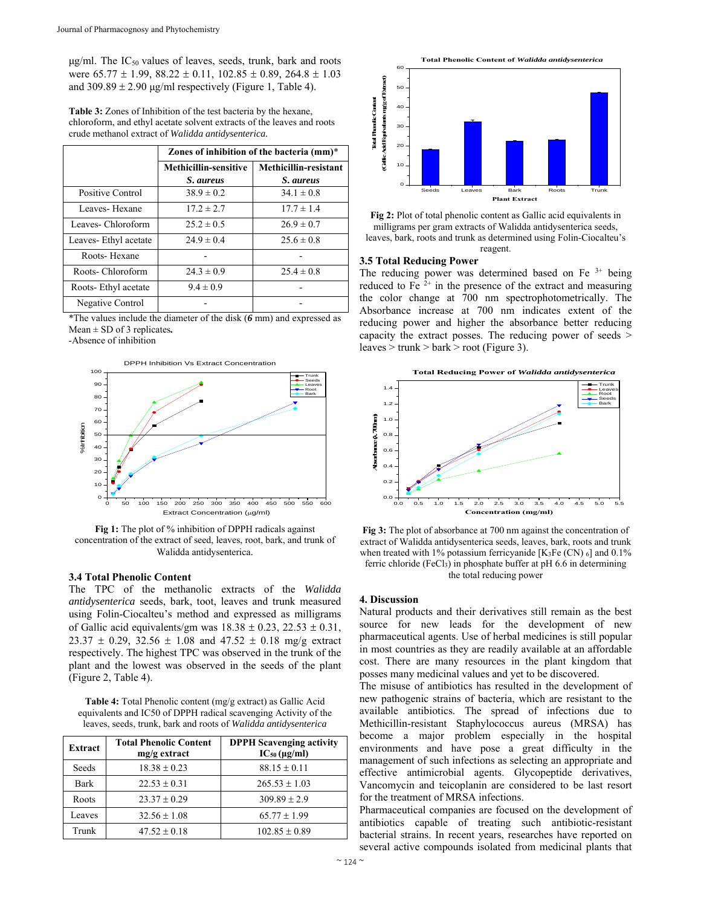$\mu$ g/ml. The IC<sub>50</sub> values of leaves, seeds, trunk, bark and roots were  $65.77 \pm 1.99$ ,  $88.22 \pm 0.11$ ,  $102.85 \pm 0.89$ ,  $264.8 \pm 1.03$ and  $309.89 \pm 2.90$  μg/ml respectively (Figure 1, Table 4).

**Table 3:** Zones of Inhibition of the test bacteria by the hexane, chloroform, and ethyl acetate solvent extracts of the leaves and roots crude methanol extract of *Walidda antidysenterica.*

|                      | Zones of inhibition of the bacteria (mm)* |                       |  |
|----------------------|-------------------------------------------|-----------------------|--|
|                      | Methicillin-sensitive                     | Methicillin-resistant |  |
|                      | <i>S. aureus</i>                          | S. aureus             |  |
| Positive Control     | $38.9 \pm 0.2$                            | $34.1 \pm 0.8$        |  |
| Leaves-Hexane        | $17.2 \pm 2.7$                            | $17.7 \pm 1.4$        |  |
| Leaves-Chloroform    | $25.2 \pm 0.5$                            | $26.9 \pm 0.7$        |  |
| Leaves-Ethyl acetate | $24.9 \pm 0.4$                            | $25.6 \pm 0.8$        |  |
| Roots-Hexane         |                                           |                       |  |
| Roots- Chloroform    | $24.3 \pm 0.9$                            | $25.4 \pm 0.8$        |  |
| Roots-Ethyl acetate  | $9.4 \pm 0.9$                             |                       |  |
| Negative Control     |                                           |                       |  |

\*The values include the diameter of the disk (*6* mm) and expressed as Mean ± SD of 3 replicates*.*

-Absence of inhibition



**Fig 1:** The plot of % inhibition of DPPH radicals against concentration of the extract of seed, leaves, root, bark, and trunk of Walidda antidysenterica.

#### **3.4 Total Phenolic Content**

The TPC of the methanolic extracts of the *Walidda antidysenterica* seeds, bark, toot, leaves and trunk measured using Folin-Ciocalteu's method and expressed as milligrams of Gallic acid equivalents/gm was  $18.38 \pm 0.23$ ,  $22.53 \pm 0.31$ ,  $23.37 \pm 0.29$ ,  $32.56 \pm 1.08$  and  $47.52 \pm 0.18$  mg/g extract respectively. The highest TPC was observed in the trunk of the plant and the lowest was observed in the seeds of the plant (Figure 2, Table 4).

**Table 4:** Total Phenolic content (mg/g extract) as Gallic Acid equivalents and IC50 of DPPH radical scavenging Activity of the leaves, seeds, trunk, bark and roots of *Walidda antidysenterica* 

| Extract | <b>Total Phenolic Content</b><br>$mg/g$ extract | <b>DPPH Scavenging activity</b><br>$IC_{50}$ (µg/ml) |
|---------|-------------------------------------------------|------------------------------------------------------|
| Seeds   | $18.38 \pm 0.23$                                | $88.15 \pm 0.11$                                     |
| Bark    | $22.53 \pm 0.31$                                | $265.53 \pm 1.03$                                    |
| Roots   | $23.37 \pm 0.29$                                | $309.89 \pm 2.9$                                     |
| Leaves  | $32.56 \pm 1.08$                                | $65.77 \pm 1.99$                                     |
| Trunk   | $47.52 \pm 0.18$                                | $102.85 \pm 0.89$                                    |



**Fig 2:** Plot of total phenolic content as Gallic acid equivalents in milligrams per gram extracts of Walidda antidysenterica seeds, leaves, bark, roots and trunk as determined using Folin-Ciocalteu's reagent.

#### **3.5 Total Reducing Power**

The reducing power was determined based on Fe  $3+$  being reduced to Fe  $2^+$  in the presence of the extract and measuring the color change at 700 nm spectrophotometrically. The Absorbance increase at 700 nm indicates extent of the reducing power and higher the absorbance better reducing capacity the extract posses. The reducing power of seeds >  $leaves$  > trunk > bark > root (Figure 3).



**Fig 3:** The plot of absorbance at 700 nm against the concentration of extract of Walidda antidysenterica seeds, leaves, bark, roots and trunk when treated with 1% potassium ferricyanide [K<sub>3</sub>Fe (CN)  $_6$ ] and 0.1% ferric chloride (FeCl3) in phosphate buffer at pH 6.6 in determining the total reducing power

#### **4. Discussion**

Natural products and their derivatives still remain as the best source for new leads for the development of new pharmaceutical agents. Use of herbal medicines is still popular in most countries as they are readily available at an affordable cost. There are many resources in the plant kingdom that posses many medicinal values and yet to be discovered.

The misuse of antibiotics has resulted in the development of new pathogenic strains of bacteria, which are resistant to the available antibiotics. The spread of infections due to Methicillin-resistant Staphylococcus aureus (MRSA) has become a major problem especially in the hospital environments and have pose a great difficulty in the management of such infections as selecting an appropriate and effective antimicrobial agents. Glycopeptide derivatives, Vancomycin and teicoplanin are considered to be last resort for the treatment of MRSA infections.

Pharmaceutical companies are focused on the development of antibiotics capable of treating such antibiotic-resistant bacterial strains. In recent years, researches have reported on several active compounds isolated from medicinal plants that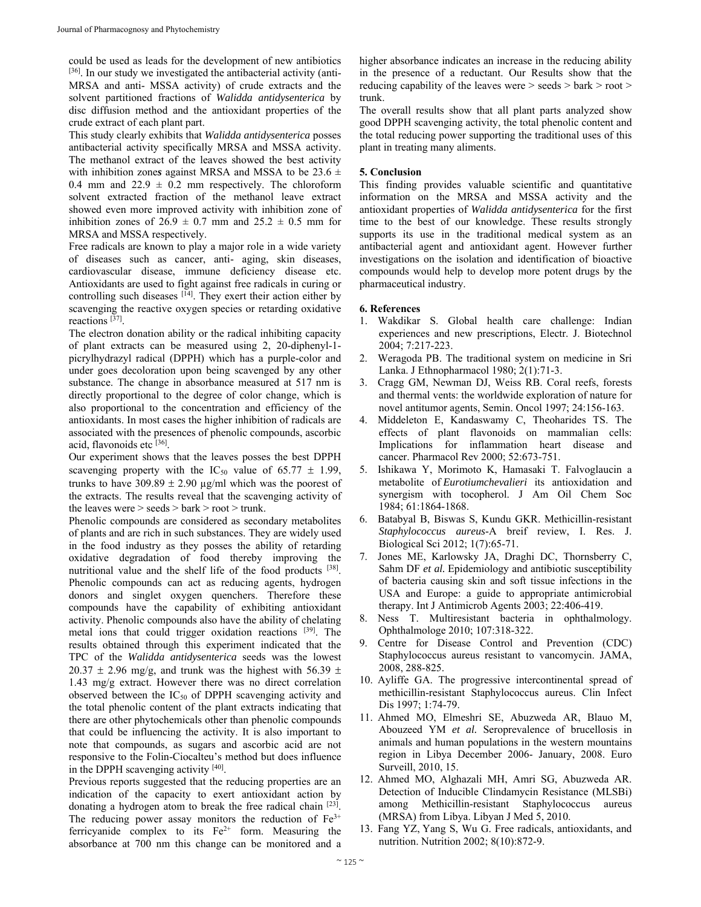could be used as leads for the development of new antibiotics  $[36]$ . In our study we investigated the antibacterial activity (anti-MRSA and anti- MSSA activity) of crude extracts and the solvent partitioned fractions of *Walidda antidysenterica* by disc diffusion method and the antioxidant properties of the crude extract of each plant part.

This study clearly exhibits that *Walidda antidysenterica* posses antibacterial activity specifically MRSA and MSSA activity. The methanol extract of the leaves showed the best activity with inhibition zones against MRSA and MSSA to be  $23.6 \pm$ 0.4 mm and  $22.9 \pm 0.2$  mm respectively. The chloroform solvent extracted fraction of the methanol leave extract showed even more improved activity with inhibition zone of inhibition zones of  $26.9 \pm 0.7$  mm and  $25.2 \pm 0.5$  mm for MRSA and MSSA respectively.

Free radicals are known to play a major role in a wide variety of diseases such as cancer, anti- aging, skin diseases, cardiovascular disease, immune deficiency disease etc. Antioxidants are used to fight against free radicals in curing or controlling such diseases  $[14]$ . They exert their action either by scavenging the reactive oxygen species or retarding oxidative reactions [37].

The electron donation ability or the radical inhibiting capacity of plant extracts can be measured using 2, 20-diphenyl-1 picrylhydrazyl radical (DPPH) which has a purple-color and under goes decoloration upon being scavenged by any other substance. The change in absorbance measured at 517 nm is directly proportional to the degree of color change, which is also proportional to the concentration and efficiency of the antioxidants. In most cases the higher inhibition of radicals are associated with the presences of phenolic compounds, ascorbic acid, flavonoids etc [36].

Our experiment shows that the leaves posses the best DPPH scavenging property with the IC<sub>50</sub> value of 65.77  $\pm$  1.99, trunks to have  $309.89 \pm 2.90 \mu g/ml$  which was the poorest of the extracts. The results reveal that the scavenging activity of the leaves were > seeds > bark > root > trunk.

Phenolic compounds are considered as secondary metabolites of plants and are rich in such substances. They are widely used in the food industry as they posses the ability of retarding oxidative degradation of food thereby improving the nutritional value and the shelf life of the food products [38]. Phenolic compounds can act as reducing agents, hydrogen donors and singlet oxygen quenchers. Therefore these compounds have the capability of exhibiting antioxidant activity. Phenolic compounds also have the ability of chelating metal ions that could trigger oxidation reactions [39]. The results obtained through this experiment indicated that the TPC of the *Walidda antidysenterica* seeds was the lowest  $20.37 \pm 2.96$  mg/g, and trunk was the highest with 56.39  $\pm$ 1.43 mg/g extract. However there was no direct correlation observed between the  $IC_{50}$  of DPPH scavenging activity and the total phenolic content of the plant extracts indicating that there are other phytochemicals other than phenolic compounds that could be influencing the activity. It is also important to note that compounds, as sugars and ascorbic acid are not responsive to the Folin-Ciocalteu's method but does influence in the DPPH scavenging activity [40].

Previous reports suggested that the reducing properties are an indication of the capacity to exert antioxidant action by donating a hydrogen atom to break the free radical chain [23]. The reducing power assay monitors the reduction of  $Fe<sup>3+</sup>$ ferricyanide complex to its  $Fe^{2+}$  form. Measuring the absorbance at 700 nm this change can be monitored and a

higher absorbance indicates an increase in the reducing ability in the presence of a reductant. Our Results show that the reducing capability of the leaves were > seeds > bark > root > trunk.

The overall results show that all plant parts analyzed show good DPPH scavenging activity, the total phenolic content and the total reducing power supporting the traditional uses of this plant in treating many aliments.

#### **5. Conclusion**

This finding provides valuable scientific and quantitative information on the MRSA and MSSA activity and the antioxidant properties of *Walidda antidysenterica* for the first time to the best of our knowledge. These results strongly supports its use in the traditional medical system as an antibacterial agent and antioxidant agent. However further investigations on the isolation and identification of bioactive compounds would help to develop more potent drugs by the pharmaceutical industry.

#### **6. References**

- 1. Wakdikar S. Global health care challenge: Indian experiences and new prescriptions, Electr. J. Biotechnol 2004; 7:217-223.
- 2. Weragoda PB. The traditional system on medicine in Sri Lanka. J Ethnopharmacol 1980; 2(1):71-3.
- 3. Cragg GM, Newman DJ, Weiss RB. Coral reefs, forests and thermal vents: the worldwide exploration of nature for novel antitumor agents, Semin. Oncol 1997; 24:156-163.
- Middeleton E, Kandaswamy C, Theoharides TS. The effects of plant flavonoids on mammalian cells: Implications for inflammation heart disease and cancer. Pharmacol Rev 2000; 52:673-751.
- 5. Ishikawa Y, Morimoto K, Hamasaki T. Falvoglaucin a metabolite of *Eurotiumchevalieri* its antioxidation and synergism with tocopherol. J Am Oil Chem Soc 1984; 61:1864-1868.
- 6. Batabyal B, Biswas S, Kundu GKR. Methicillin-resistant *Staphylococcus aureus*-A breif review, I. Res. J. Biological Sci 2012; 1(7):65-71.
- 7. Jones ME, Karlowsky JA, Draghi DC, Thornsberry C, Sahm DF *et al.* Epidemiology and antibiotic susceptibility of bacteria causing skin and soft tissue infections in the USA and Europe: a guide to appropriate antimicrobial therapy. Int J Antimicrob Agents 2003; 22:406-419.
- 8. Ness T. Multiresistant bacteria in ophthalmology. Ophthalmologe 2010; 107:318-322.
- 9. Centre for Disease Control and Prevention (CDC) Staphylococcus aureus resistant to vancomycin. JAMA, 2008, 288-825.
- 10. Ayliffe GA. The progressive intercontinental spread of methicillin-resistant Staphylococcus aureus. Clin Infect Dis 1997; 1:74-79.
- 11. Ahmed MO, Elmeshri SE, Abuzweda AR, Blauo M, Abouzeed YM *et al.* Seroprevalence of brucellosis in animals and human populations in the western mountains region in Libya December 2006- January, 2008. Euro Surveill, 2010, 15.
- 12. Ahmed MO, Alghazali MH, Amri SG, Abuzweda AR. Detection of Inducible Clindamycin Resistance (MLSBi) among Methicillin-resistant Staphylococcus aureus (MRSA) from Libya. Libyan J Med 5, 2010.
- 13. Fang YZ, Yang S, Wu G. Free radicals, antioxidants, and nutrition. Nutrition 2002; 8(10):872-9.